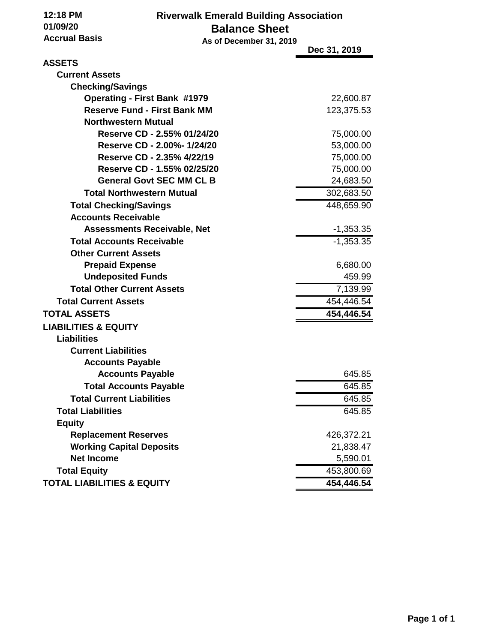**12:18 PM 01/09/20 Accrual Basis**  **Riverwalk Emerald Building Association Balance Sheet**

| Accrual Basis                                                              | As of December 31, 2019 |                         |
|----------------------------------------------------------------------------|-------------------------|-------------------------|
|                                                                            |                         | Dec 31, 2019            |
| <b>ASSETS</b>                                                              |                         |                         |
| <b>Current Assets</b>                                                      |                         |                         |
| <b>Checking/Savings</b>                                                    |                         |                         |
| <b>Operating - First Bank #1979</b><br><b>Reserve Fund - First Bank MM</b> |                         | 22,600.87<br>123,375.53 |
| <b>Northwestern Mutual</b>                                                 |                         |                         |
| Reserve CD - 2.55% 01/24/20                                                |                         | 75,000.00               |
| Reserve CD - 2.00%- 1/24/20                                                |                         | 53,000.00               |
| Reserve CD - 2.35% 4/22/19                                                 |                         | 75,000.00               |
| Reserve CD - 1.55% 02/25/20                                                |                         | 75,000.00               |
| <b>General Govt SEC MM CL B</b>                                            |                         | 24,683.50               |
| <b>Total Northwestern Mutual</b>                                           |                         | 302,683.50              |
| <b>Total Checking/Savings</b>                                              |                         | 448,659.90              |
| <b>Accounts Receivable</b>                                                 |                         |                         |
| <b>Assessments Receivable, Net</b>                                         |                         | $-1,353.35$             |
| <b>Total Accounts Receivable</b>                                           |                         | $-1,353.35$             |
| <b>Other Current Assets</b>                                                |                         |                         |
| <b>Prepaid Expense</b>                                                     |                         | 6,680.00                |
| <b>Undeposited Funds</b>                                                   |                         | 459.99                  |
| <b>Total Other Current Assets</b>                                          |                         | 7,139.99                |
| <b>Total Current Assets</b>                                                |                         | 454,446.54              |
| <b>TOTAL ASSETS</b>                                                        |                         | 454,446.54              |
| <b>LIABILITIES &amp; EQUITY</b>                                            |                         |                         |
| <b>Liabilities</b>                                                         |                         |                         |
| <b>Current Liabilities</b>                                                 |                         |                         |
| <b>Accounts Payable</b>                                                    |                         |                         |
| <b>Accounts Payable</b>                                                    |                         | 645.85                  |
| <b>Total Accounts Payable</b>                                              |                         | 645.85                  |
| <b>Total Current Liabilities</b>                                           |                         | 645.85                  |
| <b>Total Liabilities</b>                                                   |                         | 645.85                  |
| <b>Equity</b>                                                              |                         |                         |
| <b>Replacement Reserves</b>                                                |                         | 426,372.21              |
| <b>Working Capital Deposits</b>                                            |                         | 21,838.47               |
| <b>Net Income</b>                                                          |                         | 5,590.01                |
| <b>Total Equity</b>                                                        |                         | 453,800.69              |
| <b>TOTAL LIABILITIES &amp; EQUITY</b>                                      |                         | 454,446.54              |